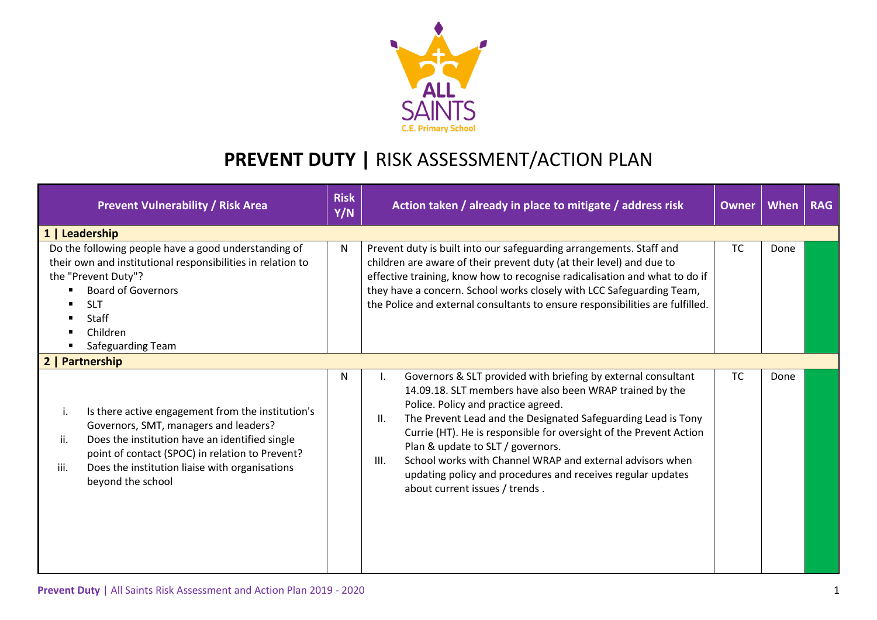

## **PREVENT DUTY |** RISK ASSESSMENT/ACTION PLAN

| <b>Prevent Vulnerability / Risk Area</b>                                                                                                                                                                                                                                                    | <b>Risk</b><br>Y/N | Action taken / already in place to mitigate / address risk                                                                                                                                                                                                                                                                                                                                                                                                                                                                | <b>Owner</b> | When | <b>RAG</b> |  |  |
|---------------------------------------------------------------------------------------------------------------------------------------------------------------------------------------------------------------------------------------------------------------------------------------------|--------------------|---------------------------------------------------------------------------------------------------------------------------------------------------------------------------------------------------------------------------------------------------------------------------------------------------------------------------------------------------------------------------------------------------------------------------------------------------------------------------------------------------------------------------|--------------|------|------------|--|--|
| 1   Leadership                                                                                                                                                                                                                                                                              |                    |                                                                                                                                                                                                                                                                                                                                                                                                                                                                                                                           |              |      |            |  |  |
| Do the following people have a good understanding of<br>their own and institutional responsibilities in relation to<br>the "Prevent Duty"?<br><b>Board of Governors</b><br><b>SLT</b><br><b>Staff</b><br>Children<br>Safeguarding Team                                                      | $\mathsf{N}$       | Prevent duty is built into our safeguarding arrangements. Staff and<br>children are aware of their prevent duty (at their level) and due to<br>effective training, know how to recognise radicalisation and what to do if<br>they have a concern. School works closely with LCC Safeguarding Team,<br>the Police and external consultants to ensure responsibilities are fulfilled.                                                                                                                                       | <b>TC</b>    | Done |            |  |  |
| Partnership                                                                                                                                                                                                                                                                                 |                    |                                                                                                                                                                                                                                                                                                                                                                                                                                                                                                                           |              |      |            |  |  |
| Is there active engagement from the institution's<br>i.<br>Governors, SMT, managers and leaders?<br>Does the institution have an identified single<br>ii.<br>point of contact (SPOC) in relation to Prevent?<br>iii.<br>Does the institution liaise with organisations<br>beyond the school | N                  | Governors & SLT provided with briefing by external consultant<br>14.09.18. SLT members have also been WRAP trained by the<br>Police. Policy and practice agreed.<br>The Prevent Lead and the Designated Safeguarding Lead is Tony<br>II.<br>Currie (HT). He is responsible for oversight of the Prevent Action<br>Plan & update to SLT / governors.<br>School works with Channel WRAP and external advisors when<br>III.<br>updating policy and procedures and receives regular updates<br>about current issues / trends. | <b>TC</b>    | Done |            |  |  |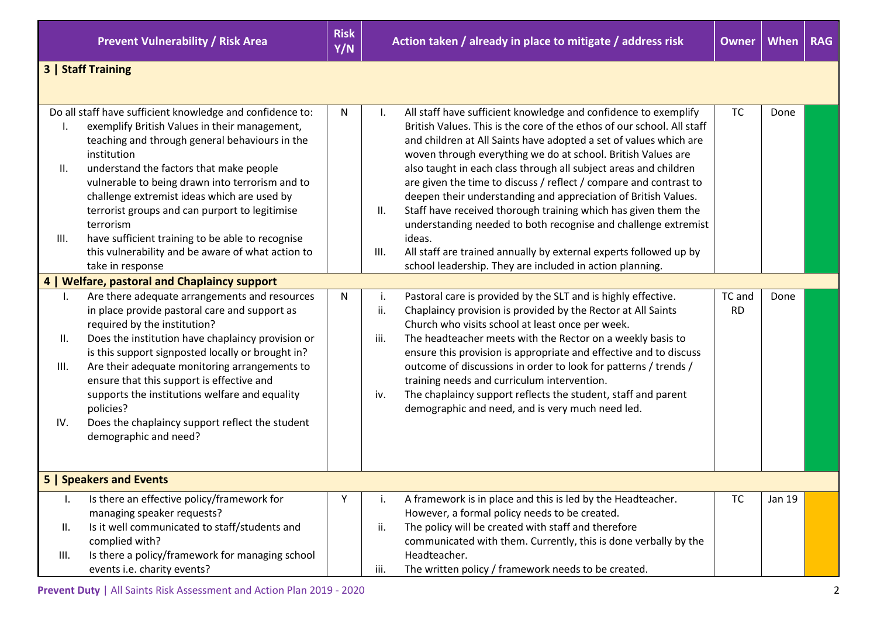**Prevent Vulnerability / Risk Area Risk <b>Risk Risk** 



## **3 | Staff Training**

|                | Do all staff have sufficient knowledge and confidence to: | N            |      | All staff have sufficient knowledge and confidence to exemplify        | <b>TC</b> | Done   |  |
|----------------|-----------------------------------------------------------|--------------|------|------------------------------------------------------------------------|-----------|--------|--|
|                | exemplify British Values in their management,             |              |      | British Values. This is the core of the ethos of our school. All staff |           |        |  |
|                | teaching and through general behaviours in the            |              |      | and children at All Saints have adopted a set of values which are      |           |        |  |
|                | institution                                               |              |      | woven through everything we do at school. British Values are           |           |        |  |
| Ш.             | understand the factors that make people                   |              |      | also taught in each class through all subject areas and children       |           |        |  |
|                | vulnerable to being drawn into terrorism and to           |              |      | are given the time to discuss / reflect / compare and contrast to      |           |        |  |
|                | challenge extremist ideas which are used by               |              |      | deepen their understanding and appreciation of British Values.         |           |        |  |
|                | terrorist groups and can purport to legitimise            |              | Ш.   | Staff have received thorough training which has given them the         |           |        |  |
|                | terrorism                                                 |              |      | understanding needed to both recognise and challenge extremist         |           |        |  |
| III.           | have sufficient training to be able to recognise          |              |      | ideas.                                                                 |           |        |  |
|                | this vulnerability and be aware of what action to         |              | III. | All staff are trained annually by external experts followed up by      |           |        |  |
|                | take in response                                          |              |      | school leadership. They are included in action planning.               |           |        |  |
|                | 4   Welfare, pastoral and Chaplaincy support              |              |      |                                                                        |           |        |  |
| Ι.             | Are there adequate arrangements and resources             | $\mathsf{N}$ | i.   | Pastoral care is provided by the SLT and is highly effective.          | TC and    | Done   |  |
|                | in place provide pastoral care and support as             |              | ii.  | Chaplaincy provision is provided by the Rector at All Saints           | <b>RD</b> |        |  |
|                | required by the institution?                              |              |      | Church who visits school at least once per week.                       |           |        |  |
| ΙΙ.            | Does the institution have chaplaincy provision or         |              | iii. | The headteacher meets with the Rector on a weekly basis to             |           |        |  |
|                | is this support signposted locally or brought in?         |              |      | ensure this provision is appropriate and effective and to discuss      |           |        |  |
| III.           | Are their adequate monitoring arrangements to             |              |      | outcome of discussions in order to look for patterns / trends /        |           |        |  |
|                | ensure that this support is effective and                 |              |      | training needs and curriculum intervention.                            |           |        |  |
|                | supports the institutions welfare and equality            |              | iv.  | The chaplaincy support reflects the student, staff and parent          |           |        |  |
|                | policies?                                                 |              |      | demographic and need, and is very much need led.                       |           |        |  |
| IV.            | Does the chaplaincy support reflect the student           |              |      |                                                                        |           |        |  |
|                | demographic and need?                                     |              |      |                                                                        |           |        |  |
|                |                                                           |              |      |                                                                        |           |        |  |
|                |                                                           |              |      |                                                                        |           |        |  |
|                | 5   Speakers and Events                                   |              |      |                                                                        |           |        |  |
| $\mathsf{l}$ . | Is there an effective policy/framework for                | Υ            | i.   | A framework is in place and this is led by the Headteacher.            | <b>TC</b> | Jan 19 |  |
|                | managing speaker requests?                                |              |      | However, a formal policy needs to be created.                          |           |        |  |
| П.             | Is it well communicated to staff/students and             |              | ii.  | The policy will be created with staff and therefore                    |           |        |  |
|                | complied with?                                            |              |      | communicated with them. Currently, this is done verbally by the        |           |        |  |
| III.           | Is there a policy/framework for managing school           |              |      | Headteacher.                                                           |           |        |  |
|                | events i.e. charity events?                               |              | iii. | The written policy / framework needs to be created.                    |           |        |  |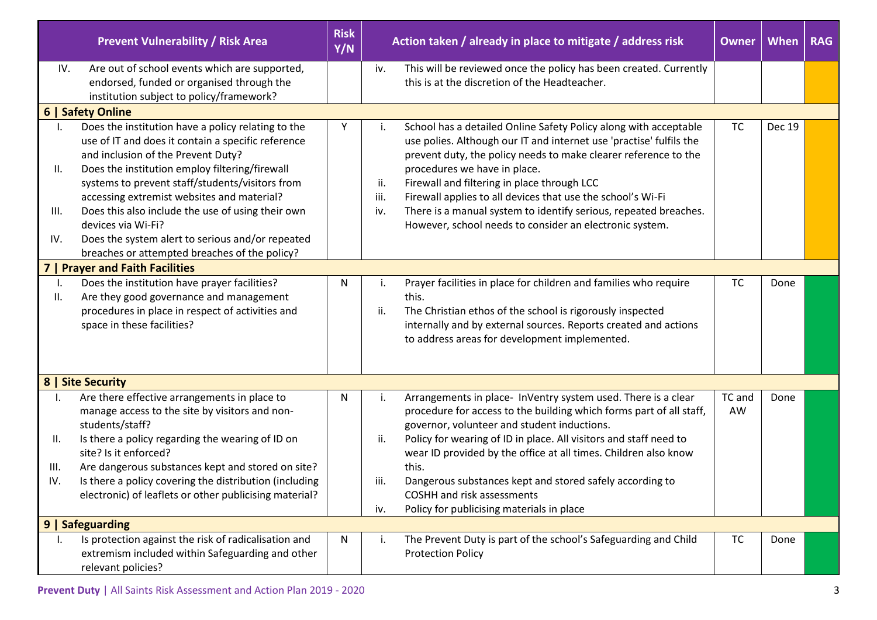|                          | <b>Prevent Vulnerability / Risk Area</b>                                                                                                                                                                                                                                                                                                                                                                                                                                                                                | <b>Risk</b><br>Y/N | Action taken / already in place to mitigate / address risk |                                                                                                                                                                                                                                                                                                                                                                                                                                                                                         | <b>Owner</b> | <b>When</b> | <b>RAG</b> |
|--------------------------|-------------------------------------------------------------------------------------------------------------------------------------------------------------------------------------------------------------------------------------------------------------------------------------------------------------------------------------------------------------------------------------------------------------------------------------------------------------------------------------------------------------------------|--------------------|------------------------------------------------------------|-----------------------------------------------------------------------------------------------------------------------------------------------------------------------------------------------------------------------------------------------------------------------------------------------------------------------------------------------------------------------------------------------------------------------------------------------------------------------------------------|--------------|-------------|------------|
| IV.                      | Are out of school events which are supported,<br>endorsed, funded or organised through the<br>institution subject to policy/framework?                                                                                                                                                                                                                                                                                                                                                                                  |                    | iv.                                                        | This will be reviewed once the policy has been created. Currently<br>this is at the discretion of the Headteacher.                                                                                                                                                                                                                                                                                                                                                                      |              |             |            |
| <b>6   Safety Online</b> |                                                                                                                                                                                                                                                                                                                                                                                                                                                                                                                         |                    |                                                            |                                                                                                                                                                                                                                                                                                                                                                                                                                                                                         |              |             |            |
| II.<br>III.<br>IV.       | Does the institution have a policy relating to the<br>use of IT and does it contain a specific reference<br>and inclusion of the Prevent Duty?<br>Does the institution employ filtering/firewall<br>systems to prevent staff/students/visitors from<br>accessing extremist websites and material?<br>Does this also include the use of using their own<br>devices via Wi-Fi?<br>Does the system alert to serious and/or repeated<br>breaches or attempted breaches of the policy?<br><b>Prayer and Faith Facilities</b> | Y                  | ii.<br>iii.<br>iv.                                         | School has a detailed Online Safety Policy along with acceptable<br>use polies. Although our IT and internet use 'practise' fulfils the<br>prevent duty, the policy needs to make clearer reference to the<br>procedures we have in place.<br>Firewall and filtering in place through LCC<br>Firewall applies to all devices that use the school's Wi-Fi<br>There is a manual system to identify serious, repeated breaches.<br>However, school needs to consider an electronic system. | <b>TC</b>    | Dec 19      |            |
| I.                       | Does the institution have prayer facilities?                                                                                                                                                                                                                                                                                                                                                                                                                                                                            | N                  | i.                                                         | Prayer facilities in place for children and families who require                                                                                                                                                                                                                                                                                                                                                                                                                        | <b>TC</b>    | Done        |            |
| Ш.                       | Are they good governance and management<br>procedures in place in respect of activities and<br>space in these facilities?                                                                                                                                                                                                                                                                                                                                                                                               |                    | ii.                                                        | this.<br>The Christian ethos of the school is rigorously inspected<br>internally and by external sources. Reports created and actions<br>to address areas for development implemented.                                                                                                                                                                                                                                                                                                  |              |             |            |
|                          | 8   Site Security                                                                                                                                                                                                                                                                                                                                                                                                                                                                                                       |                    |                                                            |                                                                                                                                                                                                                                                                                                                                                                                                                                                                                         |              |             |            |
| I.<br>Ш.<br>III.<br>IV.  | Are there effective arrangements in place to<br>manage access to the site by visitors and non-<br>students/staff?<br>Is there a policy regarding the wearing of ID on<br>site? Is it enforced?<br>Are dangerous substances kept and stored on site?<br>Is there a policy covering the distribution (including<br>electronic) of leaflets or other publicising material?                                                                                                                                                 | N                  | i.<br>ii.<br>iii.<br>iv.                                   | Arrangements in place- InVentry system used. There is a clear<br>procedure for access to the building which forms part of all staff,<br>governor, volunteer and student inductions.<br>Policy for wearing of ID in place. All visitors and staff need to<br>wear ID provided by the office at all times. Children also know<br>this.<br>Dangerous substances kept and stored safely according to<br>COSHH and risk assessments<br>Policy for publicising materials in place             | TC and<br>AW | Done        |            |
|                          | <b>Safeguarding</b>                                                                                                                                                                                                                                                                                                                                                                                                                                                                                                     |                    |                                                            |                                                                                                                                                                                                                                                                                                                                                                                                                                                                                         |              |             |            |
| ı.                       | Is protection against the risk of radicalisation and<br>extremism included within Safeguarding and other<br>relevant policies?                                                                                                                                                                                                                                                                                                                                                                                          | N                  |                                                            | The Prevent Duty is part of the school's Safeguarding and Child<br><b>Protection Policy</b>                                                                                                                                                                                                                                                                                                                                                                                             | <b>TC</b>    | Done        |            |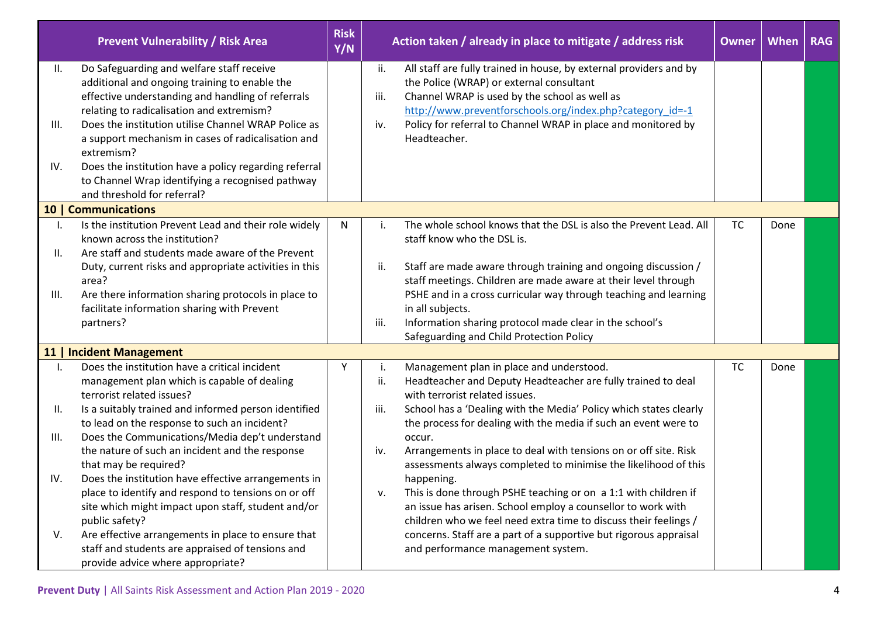|           | <b>Prevent Vulnerability / Risk Area</b>                                                                                                                                                     | <b>Risk</b><br>Y/N | Action taken / already in place to mitigate / address risk |                                                                                                                                                                                                                              | <b>Owner</b> | When | <b>RAG</b> |
|-----------|----------------------------------------------------------------------------------------------------------------------------------------------------------------------------------------------|--------------------|------------------------------------------------------------|------------------------------------------------------------------------------------------------------------------------------------------------------------------------------------------------------------------------------|--------------|------|------------|
| II.       | Do Safeguarding and welfare staff receive<br>additional and ongoing training to enable the<br>effective understanding and handling of referrals<br>relating to radicalisation and extremism? |                    | ii.<br>iii.                                                | All staff are fully trained in house, by external providers and by<br>the Police (WRAP) or external consultant<br>Channel WRAP is used by the school as well as<br>http://www.preventforschools.org/index.php?category_id=-1 |              |      |            |
| Ш.<br>IV. | Does the institution utilise Channel WRAP Police as<br>a support mechanism in cases of radicalisation and<br>extremism?<br>Does the institution have a policy regarding referral             |                    | iv.                                                        | Policy for referral to Channel WRAP in place and monitored by<br>Headteacher.                                                                                                                                                |              |      |            |
|           | to Channel Wrap identifying a recognised pathway<br>and threshold for referral?                                                                                                              |                    |                                                            |                                                                                                                                                                                                                              |              |      |            |
|           | 10   Communications                                                                                                                                                                          |                    |                                                            |                                                                                                                                                                                                                              |              |      |            |
| Ι.<br>Ⅱ.  | Is the institution Prevent Lead and their role widely<br>known across the institution?<br>Are staff and students made aware of the Prevent                                                   | N                  | i.                                                         | The whole school knows that the DSL is also the Prevent Lead. All<br>staff know who the DSL is.                                                                                                                              | <b>TC</b>    | Done |            |
|           | Duty, current risks and appropriate activities in this<br>area?                                                                                                                              |                    | ii.                                                        | Staff are made aware through training and ongoing discussion /<br>staff meetings. Children are made aware at their level through                                                                                             |              |      |            |
| III.      | Are there information sharing protocols in place to<br>facilitate information sharing with Prevent<br>partners?                                                                              |                    | iii.                                                       | PSHE and in a cross curricular way through teaching and learning<br>in all subjects.<br>Information sharing protocol made clear in the school's                                                                              |              |      |            |
|           |                                                                                                                                                                                              |                    |                                                            | Safeguarding and Child Protection Policy                                                                                                                                                                                     |              |      |            |
|           | 11   Incident Management                                                                                                                                                                     |                    |                                                            |                                                                                                                                                                                                                              |              |      |            |
|           | Does the institution have a critical incident<br>management plan which is capable of dealing<br>terrorist related issues?                                                                    | Y                  | i.<br>ii.                                                  | Management plan in place and understood.<br>Headteacher and Deputy Headteacher are fully trained to deal<br>with terrorist related issues.                                                                                   | <b>TC</b>    | Done |            |
| Ⅱ.        | Is a suitably trained and informed person identified<br>to lead on the response to such an incident?                                                                                         |                    | iii.                                                       | School has a 'Dealing with the Media' Policy which states clearly<br>the process for dealing with the media if such an event were to                                                                                         |              |      |            |
| III.      | Does the Communications/Media dep't understand<br>the nature of such an incident and the response<br>that may be required?                                                                   |                    | iv.                                                        | occur.<br>Arrangements in place to deal with tensions on or off site. Risk<br>assessments always completed to minimise the likelihood of this                                                                                |              |      |            |
| IV.       | Does the institution have effective arrangements in<br>place to identify and respond to tensions on or off<br>site which might impact upon staff, student and/or<br>public safety?           |                    | v.                                                         | happening.<br>This is done through PSHE teaching or on a 1:1 with children if<br>an issue has arisen. School employ a counsellor to work with<br>children who we feel need extra time to discuss their feelings /            |              |      |            |
| V.        | Are effective arrangements in place to ensure that<br>staff and students are appraised of tensions and<br>provide advice where appropriate?                                                  |                    |                                                            | concerns. Staff are a part of a supportive but rigorous appraisal<br>and performance management system.                                                                                                                      |              |      |            |